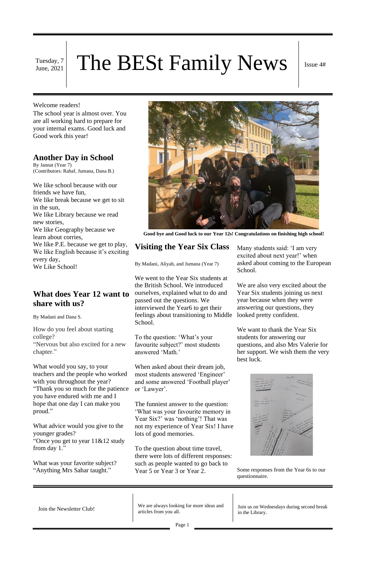Tuesday, 7

# Tuesday, 7 The BESt Family News Issue 4#

#### Welcome readers!

The school year is almost over. You are all working hard to prepare for your internal exams. Good luck and Good work this year!

### **Another Day in School**

By Jannat (Year 7) (Contributors: Rahaf, Jumana, Dana B.)

We like school because with our friends we have fun, We like break because we get to sit in the sun, We like Library because we read new stories, We like Geography because we learn about corries, We like P.E. because we get to play, We like English because it's exciting every day, We Like School!



**Good bye and Good luck to our Year 12s! Congratulations on finishing high school!**

# **Visiting the Year Six Class**

By Madani, Aliyah, and Jumana (Year 7)

We went to the Year Six students at the British School. We introduced ourselves, explained what to do and passed out the questions. We interviewed the Year6 to get their feelings about transitioning to Middle School.

To the question: 'What's your favourite subject?' most students answered 'Math.'

When asked about their dream job, most students answered 'Engineer' and some answered 'Football player' or 'Lawyer'.

The funniest answer to the question: 'What was your favourite memory in Year Six?' was 'nothing'! That was not my experience of Year Six! I have lots of good memories.

Join the Newsletter Club!<br>
We are always looking for more ideas and<br>
we are always looking for more ideas and articles from you all.

To the question about time travel, there were lots of different responses: such as people wanted to go back to Year 5 or Year 3 or Year 2.

Many students said: 'I am very excited about next year!' when asked about coming to the European School.

We are also very excited about the Year Six students joining us next year because when they were answering our questions, they looked pretty confident.

We want to thank the Year Six students for answering our questions, and also Mrs Valerie for her support. We wish them the very best luck.



Some responses from the Year 6s to our questionnaire.

# **What does Year 12 want to share with us?**

By Madani and Dana S.

How do you feel about starting college? "Nervous but also excited for a new chapter."

What would you say, to your teachers and the people who worked with you throughout the year? "Thank you so much for the patience you have endured with me and I hope that one day I can make you proud."

What advice would you give to the younger grades? "Once you get to year 11&12 study from day 1."

What was your favorite subject? "Anything Mrs Sahar taught."

> Join us on Wednesdays during second break in the Library.

Page 1